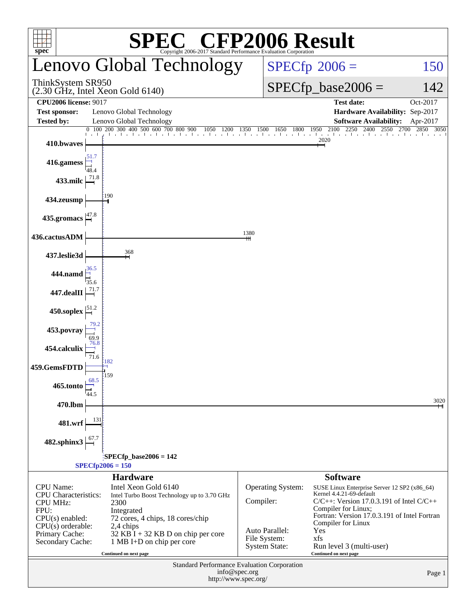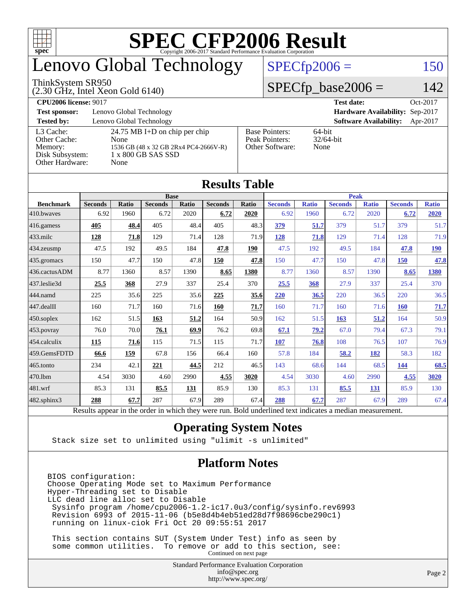

# enovo Global Technology

#### ThinkSystem SR950

(2.30 GHz, Intel Xeon Gold 6140)

### $SPECfp2006 = 150$  $SPECfp2006 = 150$

### $SPECfp\_base2006 = 142$

**[CPU2006 license:](http://www.spec.org/auto/cpu2006/Docs/result-fields.html#CPU2006license)** 9017 **[Test date:](http://www.spec.org/auto/cpu2006/Docs/result-fields.html#Testdate)** Oct-2017 **[Test sponsor:](http://www.spec.org/auto/cpu2006/Docs/result-fields.html#Testsponsor)** Lenovo Global Technology **[Hardware Availability:](http://www.spec.org/auto/cpu2006/Docs/result-fields.html#HardwareAvailability)** Sep-2017 **[Tested by:](http://www.spec.org/auto/cpu2006/Docs/result-fields.html#Testedby)** Lenovo Global Technology **[Software Availability:](http://www.spec.org/auto/cpu2006/Docs/result-fields.html#SoftwareAvailability)** Apr-2017 [L3 Cache:](http://www.spec.org/auto/cpu2006/Docs/result-fields.html#L3Cache) 24.75 MB I+D on chip per chip<br>Other Cache: None [Other Cache:](http://www.spec.org/auto/cpu2006/Docs/result-fields.html#OtherCache) [Memory:](http://www.spec.org/auto/cpu2006/Docs/result-fields.html#Memory) 1536 GB (48 x 32 GB 2Rx4 PC4-2666V-R) [Disk Subsystem:](http://www.spec.org/auto/cpu2006/Docs/result-fields.html#DiskSubsystem) 1 x 800 GB SAS SSD [Other Hardware:](http://www.spec.org/auto/cpu2006/Docs/result-fields.html#OtherHardware) None [Base Pointers:](http://www.spec.org/auto/cpu2006/Docs/result-fields.html#BasePointers) 64-bit<br>Peak Pointers: 32/64-bit [Peak Pointers:](http://www.spec.org/auto/cpu2006/Docs/result-fields.html#PeakPointers) [Other Software:](http://www.spec.org/auto/cpu2006/Docs/result-fields.html#OtherSoftware) None

**[Results Table](http://www.spec.org/auto/cpu2006/Docs/result-fields.html#ResultsTable)**

| Results Table    |                                                                                                          |       |                |       |                |       |                |              |                |              |                |              |
|------------------|----------------------------------------------------------------------------------------------------------|-------|----------------|-------|----------------|-------|----------------|--------------|----------------|--------------|----------------|--------------|
|                  | <b>Base</b>                                                                                              |       |                |       |                |       | <b>Peak</b>    |              |                |              |                |              |
| <b>Benchmark</b> | <b>Seconds</b>                                                                                           | Ratio | <b>Seconds</b> | Ratio | <b>Seconds</b> | Ratio | <b>Seconds</b> | <b>Ratio</b> | <b>Seconds</b> | <b>Ratio</b> | <b>Seconds</b> | <b>Ratio</b> |
| 410.bwayes       | 6.92                                                                                                     | 1960  | 6.72           | 2020  | 6.72           | 2020  | 6.92           | 1960         | 6.72           | 2020         | 6.72           | <b>2020</b>  |
| $416$ .gamess    | 405                                                                                                      | 48.4  | 405            | 48.4  | 405            | 48.3  | 379            | 51.7         | 379            | 51.7         | 379            | 51.7         |
| $433$ .milc      | 128                                                                                                      | 71.8  | 129            | 71.4  | 128            | 71.9  | 128            | 71.8         | 129            | 71.4         | 128            | 71.9         |
| 434.zeusmp       | 47.5                                                                                                     | 192   | 49.5           | 184   | 47.8           | 190   | 47.5           | 192          | 49.5           | 184          | 47.8           | 190          |
| 435.gromacs      | 150                                                                                                      | 47.7  | 150            | 47.8  | 150            | 47.8  | 150            | 47.7         | 150            | 47.8         | 150            | 47.8         |
| 436.cactusADM    | 8.77                                                                                                     | 1360  | 8.57           | 1390  | 8.65           | 1380  | 8.77           | 1360         | 8.57           | 1390         | 8.65           | 1380         |
| 437.leslie3d     | 25.5                                                                                                     | 368   | 27.9           | 337   | 25.4           | 370   | 25.5           | 368          | 27.9           | 337          | 25.4           | 370          |
| 444.namd         | 225                                                                                                      | 35.6  | 225            | 35.6  | 225            | 35.6  | 220            | 36.5         | 220            | 36.5         | 220            | 36.5         |
| $447$ .dealII    | 160                                                                                                      | 71.7  | 160            | 71.6  | 160            | 71.7  | 160            | 71.7         | 160            | 71.6         | 160            | 71.7         |
| $450$ .soplex    | 162                                                                                                      | 51.5  | 163            | 51.2  | 164            | 50.9  | 162            | 51.5         | 163            | 51.2         | 164            | 50.9         |
| 453.povray       | 76.0                                                                                                     | 70.0  | 76.1           | 69.9  | 76.2           | 69.8  | 67.1           | 79.2         | 67.0           | 79.4         | 67.3           | 79.1         |
| 454.calculix     | <b>115</b>                                                                                               | 71.6  | 115            | 71.5  | 115            | 71.7  | 107            | 76.8         | 108            | 76.5         | 107            | 76.9         |
| 459.GemsFDTD     | 66.6                                                                                                     | 159   | 67.8           | 156   | 66.4           | 160   | 57.8           | 184          | 58.2           | 182          | 58.3           | 182          |
| $465$ .tonto     | 234                                                                                                      | 42.1  | 221            | 44.5  | 212            | 46.5  | 143            | 68.6         | 144            | 68.5         | 144            | 68.5         |
| 470.1bm          | 4.54                                                                                                     | 3030  | 4.60           | 2990  | 4.55           | 3020  | 4.54           | 3030         | 4.60           | 2990         | 4.55           | 3020         |
| 481.wrf          | 85.3                                                                                                     | 131   | 85.5           | 131   | 85.9           | 130   | 85.3           | 131          | 85.5           | 131          | 85.9           | 130          |
| 482.sphinx3      | 288                                                                                                      | 67.7  | 287            | 67.9  | 289            | 67.4  | 288            | 67.7         | 287            | 67.9         | 289            | 67.4         |
|                  | Results appear in the order in which they were run. Bold underlined text indicates a median measurement. |       |                |       |                |       |                |              |                |              |                |              |

### **[Operating System Notes](http://www.spec.org/auto/cpu2006/Docs/result-fields.html#OperatingSystemNotes)**

Stack size set to unlimited using "ulimit -s unlimited"

### **[Platform Notes](http://www.spec.org/auto/cpu2006/Docs/result-fields.html#PlatformNotes)**

BIOS configuration: Choose Operating Mode set to Maximum Performance Hyper-Threading set to Disable LLC dead line alloc set to Disable Sysinfo program /home/cpu2006-1.2-ic17.0u3/config/sysinfo.rev6993 Revision 6993 of 2015-11-06 (b5e8d4b4eb51ed28d7f98696cbe290c1) running on linux-ciok Fri Oct 20 09:55:51 2017

 This section contains SUT (System Under Test) info as seen by some common utilities. To remove or add to this section, see: Continued on next page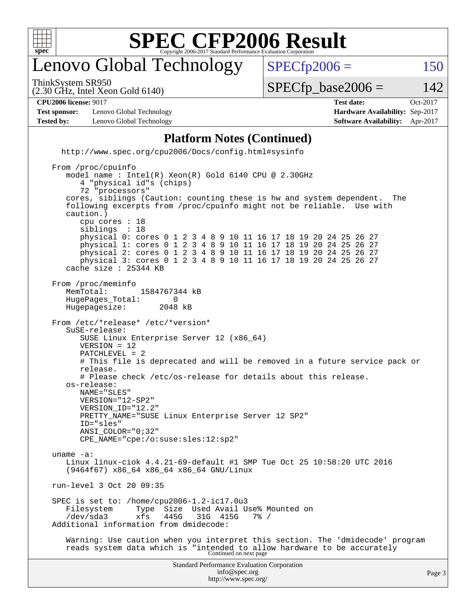

# enovo Global Technology

ThinkSystem SR950

 $SPECTp2006 = 150$ 

(2.30 GHz, Intel Xeon Gold 6140)

 $SPECTp\_base2006 = 142$ 

#### **[CPU2006 license:](http://www.spec.org/auto/cpu2006/Docs/result-fields.html#CPU2006license)** 9017 **[Test date:](http://www.spec.org/auto/cpu2006/Docs/result-fields.html#Testdate)** Oct-2017

**[Test sponsor:](http://www.spec.org/auto/cpu2006/Docs/result-fields.html#Testsponsor)** Lenovo Global Technology **[Hardware Availability:](http://www.spec.org/auto/cpu2006/Docs/result-fields.html#HardwareAvailability)** Sep-2017 **[Tested by:](http://www.spec.org/auto/cpu2006/Docs/result-fields.html#Testedby)** Lenovo Global Technology **[Software Availability:](http://www.spec.org/auto/cpu2006/Docs/result-fields.html#SoftwareAvailability)** Apr-2017

**[Platform Notes \(Continued\)](http://www.spec.org/auto/cpu2006/Docs/result-fields.html#PlatformNotes)** <http://www.spec.org/cpu2006/Docs/config.html#sysinfo> From /proc/cpuinfo model name : Intel(R) Xeon(R) Gold 6140 CPU @ 2.30GHz 4 "physical id"s (chips) 72 "processors" cores, siblings (Caution: counting these is hw and system dependent. The following excerpts from /proc/cpuinfo might not be reliable. Use with caution.) cpu cores : 18 siblings physical 0: cores 0 1 2 3 4 8 9 10 11 16 17 18 19 20 24 25 26 27 physical 1: cores 0 1 2 3 4 8 9 10 11 16 17 18 19 20 24 25 26 27 physical 2: cores 0 1 2 3 4 8 9 10 11 16 17 18 19 20 24 25 26 27 physical 3: cores 0 1 2 3 4 8 9 10 11 16 17 18 19 20 24 25 26 27 cache size : 25344 KB From /proc/meminfo MemTotal: 1584767344 kB<br>HugePages Total: 0 HugePages\_Total: 0<br>Hugepagesize: 2048 kB Hugepagesize: From /etc/\*release\* /etc/\*version\* SuSE-release: SUSE Linux Enterprise Server 12 (x86\_64) VERSION = 12 PATCHLEVEL = 2 # This file is deprecated and will be removed in a future service pack or release. # Please check /etc/os-release for details about this release. os-release: NAME="SLES" VERSION="12-SP2" VERSION\_ID="12.2" PRETTY\_NAME="SUSE Linux Enterprise Server 12 SP2" ID="sles" ANSI\_COLOR="0;32" CPE\_NAME="cpe:/o:suse:sles:12:sp2" uname -a: Linux linux-ciok 4.4.21-69-default #1 SMP Tue Oct 25 10:58:20 UTC 2016 (9464f67) x86\_64 x86\_64 x86\_64 GNU/Linux run-level 3 Oct 20 09:35 SPEC is set to: /home/cpu2006-1.2-ic17.0u3 Type Size Used Avail Use% Mounted on<br>xfs 445G 31G 415G 7% / /dev/sda3 xfs 445G 31G 415G 7% / Additional information from dmidecode: Warning: Use caution when you interpret this section. The 'dmidecode' program reads system data which is "intended to allow hardware to be accurately Continued on next page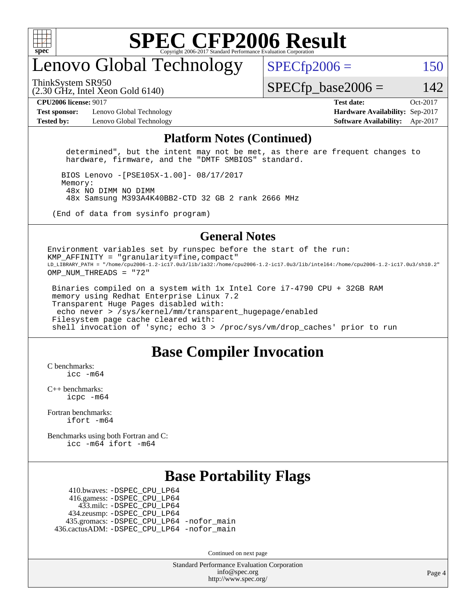

# enovo Global Technology

ThinkSystem SR950

 $SPECTp2006 = 150$ 

(2.30 GHz, Intel Xeon Gold 6140)

 $SPECTp\_base2006 = 142$ 

**[Test sponsor:](http://www.spec.org/auto/cpu2006/Docs/result-fields.html#Testsponsor)** Lenovo Global Technology **[Hardware Availability:](http://www.spec.org/auto/cpu2006/Docs/result-fields.html#HardwareAvailability)** Sep-2017 **[Tested by:](http://www.spec.org/auto/cpu2006/Docs/result-fields.html#Testedby)** Lenovo Global Technology **[Software Availability:](http://www.spec.org/auto/cpu2006/Docs/result-fields.html#SoftwareAvailability)** Apr-2017

**[CPU2006 license:](http://www.spec.org/auto/cpu2006/Docs/result-fields.html#CPU2006license)** 9017 **[Test date:](http://www.spec.org/auto/cpu2006/Docs/result-fields.html#Testdate)** Oct-2017

#### **[Platform Notes \(Continued\)](http://www.spec.org/auto/cpu2006/Docs/result-fields.html#PlatformNotes)**

 determined", but the intent may not be met, as there are frequent changes to hardware, firmware, and the "DMTF SMBIOS" standard.

 BIOS Lenovo -[PSE105X-1.00]- 08/17/2017 Memory: 48x NO DIMM NO DIMM 48x Samsung M393A4K40BB2-CTD 32 GB 2 rank 2666 MHz

(End of data from sysinfo program)

#### **[General Notes](http://www.spec.org/auto/cpu2006/Docs/result-fields.html#GeneralNotes)**

Environment variables set by runspec before the start of the run: KMP AFFINITY = "granularity=fine, compact" LD\_LIBRARY\_PATH = "/home/cpu2006-1.2-ic17.0u3/lib/ia32:/home/cpu2006-1.2-ic17.0u3/lib/intel64:/home/cpu2006-1.2-ic17.0u3/sh10.2" OMP NUM THREADS = "72"

 Binaries compiled on a system with 1x Intel Core i7-4790 CPU + 32GB RAM memory using Redhat Enterprise Linux 7.2 Transparent Huge Pages disabled with: echo never > /sys/kernel/mm/transparent\_hugepage/enabled Filesystem page cache cleared with: shell invocation of 'sync; echo 3 > /proc/sys/vm/drop\_caches' prior to run

## **[Base Compiler Invocation](http://www.spec.org/auto/cpu2006/Docs/result-fields.html#BaseCompilerInvocation)**

[C benchmarks](http://www.spec.org/auto/cpu2006/Docs/result-fields.html#Cbenchmarks):  $inc$   $-m64$ 

[C++ benchmarks:](http://www.spec.org/auto/cpu2006/Docs/result-fields.html#CXXbenchmarks) [icpc -m64](http://www.spec.org/cpu2006/results/res2017q4/cpu2006-20171031-50407.flags.html#user_CXXbase_intel_icpc_64bit_fc66a5337ce925472a5c54ad6a0de310)

[Fortran benchmarks](http://www.spec.org/auto/cpu2006/Docs/result-fields.html#Fortranbenchmarks): [ifort -m64](http://www.spec.org/cpu2006/results/res2017q4/cpu2006-20171031-50407.flags.html#user_FCbase_intel_ifort_64bit_ee9d0fb25645d0210d97eb0527dcc06e)

[Benchmarks using both Fortran and C](http://www.spec.org/auto/cpu2006/Docs/result-fields.html#BenchmarksusingbothFortranandC): [icc -m64](http://www.spec.org/cpu2006/results/res2017q4/cpu2006-20171031-50407.flags.html#user_CC_FCbase_intel_icc_64bit_bda6cc9af1fdbb0edc3795bac97ada53) [ifort -m64](http://www.spec.org/cpu2006/results/res2017q4/cpu2006-20171031-50407.flags.html#user_CC_FCbase_intel_ifort_64bit_ee9d0fb25645d0210d97eb0527dcc06e)

## **[Base Portability Flags](http://www.spec.org/auto/cpu2006/Docs/result-fields.html#BasePortabilityFlags)**

 410.bwaves: [-DSPEC\\_CPU\\_LP64](http://www.spec.org/cpu2006/results/res2017q4/cpu2006-20171031-50407.flags.html#suite_basePORTABILITY410_bwaves_DSPEC_CPU_LP64) 416.gamess: [-DSPEC\\_CPU\\_LP64](http://www.spec.org/cpu2006/results/res2017q4/cpu2006-20171031-50407.flags.html#suite_basePORTABILITY416_gamess_DSPEC_CPU_LP64) 433.milc: [-DSPEC\\_CPU\\_LP64](http://www.spec.org/cpu2006/results/res2017q4/cpu2006-20171031-50407.flags.html#suite_basePORTABILITY433_milc_DSPEC_CPU_LP64) 434.zeusmp: [-DSPEC\\_CPU\\_LP64](http://www.spec.org/cpu2006/results/res2017q4/cpu2006-20171031-50407.flags.html#suite_basePORTABILITY434_zeusmp_DSPEC_CPU_LP64) 435.gromacs: [-DSPEC\\_CPU\\_LP64](http://www.spec.org/cpu2006/results/res2017q4/cpu2006-20171031-50407.flags.html#suite_basePORTABILITY435_gromacs_DSPEC_CPU_LP64) [-nofor\\_main](http://www.spec.org/cpu2006/results/res2017q4/cpu2006-20171031-50407.flags.html#user_baseLDPORTABILITY435_gromacs_f-nofor_main) 436.cactusADM: [-DSPEC\\_CPU\\_LP64](http://www.spec.org/cpu2006/results/res2017q4/cpu2006-20171031-50407.flags.html#suite_basePORTABILITY436_cactusADM_DSPEC_CPU_LP64) [-nofor\\_main](http://www.spec.org/cpu2006/results/res2017q4/cpu2006-20171031-50407.flags.html#user_baseLDPORTABILITY436_cactusADM_f-nofor_main)

Continued on next page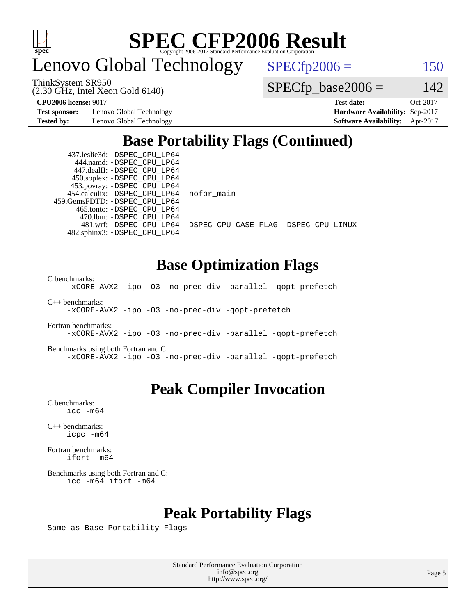

enovo Global Technology

 $SPECfp2006 = 150$  $SPECfp2006 = 150$ 

ThinkSystem SR950

(2.30 GHz, Intel Xeon Gold 6140)

**[Test sponsor:](http://www.spec.org/auto/cpu2006/Docs/result-fields.html#Testsponsor)** Lenovo Global Technology **[Hardware Availability:](http://www.spec.org/auto/cpu2006/Docs/result-fields.html#HardwareAvailability)** Sep-2017

 $SPECfp\_base2006 = 142$ 

**[CPU2006 license:](http://www.spec.org/auto/cpu2006/Docs/result-fields.html#CPU2006license)** 9017 **[Test date:](http://www.spec.org/auto/cpu2006/Docs/result-fields.html#Testdate)** Oct-2017 **[Tested by:](http://www.spec.org/auto/cpu2006/Docs/result-fields.html#Testedby)** Lenovo Global Technology **[Software Availability:](http://www.spec.org/auto/cpu2006/Docs/result-fields.html#SoftwareAvailability)** Apr-2017

# **[Base Portability Flags \(Continued\)](http://www.spec.org/auto/cpu2006/Docs/result-fields.html#BasePortabilityFlags)**

 437.leslie3d: [-DSPEC\\_CPU\\_LP64](http://www.spec.org/cpu2006/results/res2017q4/cpu2006-20171031-50407.flags.html#suite_basePORTABILITY437_leslie3d_DSPEC_CPU_LP64) 444.namd: [-DSPEC\\_CPU\\_LP64](http://www.spec.org/cpu2006/results/res2017q4/cpu2006-20171031-50407.flags.html#suite_basePORTABILITY444_namd_DSPEC_CPU_LP64) 447.dealII: [-DSPEC\\_CPU\\_LP64](http://www.spec.org/cpu2006/results/res2017q4/cpu2006-20171031-50407.flags.html#suite_basePORTABILITY447_dealII_DSPEC_CPU_LP64) 450.soplex: [-DSPEC\\_CPU\\_LP64](http://www.spec.org/cpu2006/results/res2017q4/cpu2006-20171031-50407.flags.html#suite_basePORTABILITY450_soplex_DSPEC_CPU_LP64) 453.povray: [-DSPEC\\_CPU\\_LP64](http://www.spec.org/cpu2006/results/res2017q4/cpu2006-20171031-50407.flags.html#suite_basePORTABILITY453_povray_DSPEC_CPU_LP64) 454.calculix: [-DSPEC\\_CPU\\_LP64](http://www.spec.org/cpu2006/results/res2017q4/cpu2006-20171031-50407.flags.html#suite_basePORTABILITY454_calculix_DSPEC_CPU_LP64) [-nofor\\_main](http://www.spec.org/cpu2006/results/res2017q4/cpu2006-20171031-50407.flags.html#user_baseLDPORTABILITY454_calculix_f-nofor_main) 459.GemsFDTD: [-DSPEC\\_CPU\\_LP64](http://www.spec.org/cpu2006/results/res2017q4/cpu2006-20171031-50407.flags.html#suite_basePORTABILITY459_GemsFDTD_DSPEC_CPU_LP64) 465.tonto: [-DSPEC\\_CPU\\_LP64](http://www.spec.org/cpu2006/results/res2017q4/cpu2006-20171031-50407.flags.html#suite_basePORTABILITY465_tonto_DSPEC_CPU_LP64) 470.lbm: [-DSPEC\\_CPU\\_LP64](http://www.spec.org/cpu2006/results/res2017q4/cpu2006-20171031-50407.flags.html#suite_basePORTABILITY470_lbm_DSPEC_CPU_LP64) 482.sphinx3: [-DSPEC\\_CPU\\_LP64](http://www.spec.org/cpu2006/results/res2017q4/cpu2006-20171031-50407.flags.html#suite_basePORTABILITY482_sphinx3_DSPEC_CPU_LP64)

481.wrf: [-DSPEC\\_CPU\\_LP64](http://www.spec.org/cpu2006/results/res2017q4/cpu2006-20171031-50407.flags.html#suite_basePORTABILITY481_wrf_DSPEC_CPU_LP64) [-DSPEC\\_CPU\\_CASE\\_FLAG](http://www.spec.org/cpu2006/results/res2017q4/cpu2006-20171031-50407.flags.html#b481.wrf_baseCPORTABILITY_DSPEC_CPU_CASE_FLAG) [-DSPEC\\_CPU\\_LINUX](http://www.spec.org/cpu2006/results/res2017q4/cpu2006-20171031-50407.flags.html#b481.wrf_baseCPORTABILITY_DSPEC_CPU_LINUX)

# **[Base Optimization Flags](http://www.spec.org/auto/cpu2006/Docs/result-fields.html#BaseOptimizationFlags)**

[C benchmarks](http://www.spec.org/auto/cpu2006/Docs/result-fields.html#Cbenchmarks):

[-xCORE-AVX2](http://www.spec.org/cpu2006/results/res2017q4/cpu2006-20171031-50407.flags.html#user_CCbase_f-xCORE-AVX2) [-ipo](http://www.spec.org/cpu2006/results/res2017q4/cpu2006-20171031-50407.flags.html#user_CCbase_f-ipo) [-O3](http://www.spec.org/cpu2006/results/res2017q4/cpu2006-20171031-50407.flags.html#user_CCbase_f-O3) [-no-prec-div](http://www.spec.org/cpu2006/results/res2017q4/cpu2006-20171031-50407.flags.html#user_CCbase_f-no-prec-div) [-parallel](http://www.spec.org/cpu2006/results/res2017q4/cpu2006-20171031-50407.flags.html#user_CCbase_f-parallel) [-qopt-prefetch](http://www.spec.org/cpu2006/results/res2017q4/cpu2006-20171031-50407.flags.html#user_CCbase_f-qopt-prefetch)

[C++ benchmarks:](http://www.spec.org/auto/cpu2006/Docs/result-fields.html#CXXbenchmarks)

[-xCORE-AVX2](http://www.spec.org/cpu2006/results/res2017q4/cpu2006-20171031-50407.flags.html#user_CXXbase_f-xCORE-AVX2) [-ipo](http://www.spec.org/cpu2006/results/res2017q4/cpu2006-20171031-50407.flags.html#user_CXXbase_f-ipo) [-O3](http://www.spec.org/cpu2006/results/res2017q4/cpu2006-20171031-50407.flags.html#user_CXXbase_f-O3) [-no-prec-div](http://www.spec.org/cpu2006/results/res2017q4/cpu2006-20171031-50407.flags.html#user_CXXbase_f-no-prec-div) [-qopt-prefetch](http://www.spec.org/cpu2006/results/res2017q4/cpu2006-20171031-50407.flags.html#user_CXXbase_f-qopt-prefetch)

[Fortran benchmarks](http://www.spec.org/auto/cpu2006/Docs/result-fields.html#Fortranbenchmarks): [-xCORE-AVX2](http://www.spec.org/cpu2006/results/res2017q4/cpu2006-20171031-50407.flags.html#user_FCbase_f-xCORE-AVX2) [-ipo](http://www.spec.org/cpu2006/results/res2017q4/cpu2006-20171031-50407.flags.html#user_FCbase_f-ipo) [-O3](http://www.spec.org/cpu2006/results/res2017q4/cpu2006-20171031-50407.flags.html#user_FCbase_f-O3) [-no-prec-div](http://www.spec.org/cpu2006/results/res2017q4/cpu2006-20171031-50407.flags.html#user_FCbase_f-no-prec-div) [-parallel](http://www.spec.org/cpu2006/results/res2017q4/cpu2006-20171031-50407.flags.html#user_FCbase_f-parallel) [-qopt-prefetch](http://www.spec.org/cpu2006/results/res2017q4/cpu2006-20171031-50407.flags.html#user_FCbase_f-qopt-prefetch)

[Benchmarks using both Fortran and C](http://www.spec.org/auto/cpu2006/Docs/result-fields.html#BenchmarksusingbothFortranandC): [-xCORE-AVX2](http://www.spec.org/cpu2006/results/res2017q4/cpu2006-20171031-50407.flags.html#user_CC_FCbase_f-xCORE-AVX2) [-ipo](http://www.spec.org/cpu2006/results/res2017q4/cpu2006-20171031-50407.flags.html#user_CC_FCbase_f-ipo) [-O3](http://www.spec.org/cpu2006/results/res2017q4/cpu2006-20171031-50407.flags.html#user_CC_FCbase_f-O3) [-no-prec-div](http://www.spec.org/cpu2006/results/res2017q4/cpu2006-20171031-50407.flags.html#user_CC_FCbase_f-no-prec-div) [-parallel](http://www.spec.org/cpu2006/results/res2017q4/cpu2006-20171031-50407.flags.html#user_CC_FCbase_f-parallel) [-qopt-prefetch](http://www.spec.org/cpu2006/results/res2017q4/cpu2006-20171031-50407.flags.html#user_CC_FCbase_f-qopt-prefetch)

## **[Peak Compiler Invocation](http://www.spec.org/auto/cpu2006/Docs/result-fields.html#PeakCompilerInvocation)**

[C benchmarks](http://www.spec.org/auto/cpu2006/Docs/result-fields.html#Cbenchmarks): [icc -m64](http://www.spec.org/cpu2006/results/res2017q4/cpu2006-20171031-50407.flags.html#user_CCpeak_intel_icc_64bit_bda6cc9af1fdbb0edc3795bac97ada53)

[C++ benchmarks:](http://www.spec.org/auto/cpu2006/Docs/result-fields.html#CXXbenchmarks) [icpc -m64](http://www.spec.org/cpu2006/results/res2017q4/cpu2006-20171031-50407.flags.html#user_CXXpeak_intel_icpc_64bit_fc66a5337ce925472a5c54ad6a0de310)

[Fortran benchmarks](http://www.spec.org/auto/cpu2006/Docs/result-fields.html#Fortranbenchmarks): [ifort -m64](http://www.spec.org/cpu2006/results/res2017q4/cpu2006-20171031-50407.flags.html#user_FCpeak_intel_ifort_64bit_ee9d0fb25645d0210d97eb0527dcc06e)

[Benchmarks using both Fortran and C](http://www.spec.org/auto/cpu2006/Docs/result-fields.html#BenchmarksusingbothFortranandC): [icc -m64](http://www.spec.org/cpu2006/results/res2017q4/cpu2006-20171031-50407.flags.html#user_CC_FCpeak_intel_icc_64bit_bda6cc9af1fdbb0edc3795bac97ada53) [ifort -m64](http://www.spec.org/cpu2006/results/res2017q4/cpu2006-20171031-50407.flags.html#user_CC_FCpeak_intel_ifort_64bit_ee9d0fb25645d0210d97eb0527dcc06e)

## **[Peak Portability Flags](http://www.spec.org/auto/cpu2006/Docs/result-fields.html#PeakPortabilityFlags)**

Same as Base Portability Flags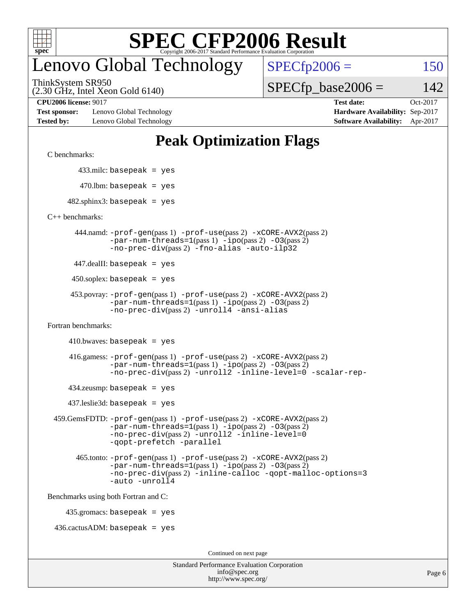

# enovo Global Technology

ThinkSystem SR950

(2.30 GHz, Intel Xeon Gold 6140)

 $SPECfp2006 = 150$  $SPECfp2006 = 150$ 

 $SPECTp\_base2006 = 142$ 

**[Test sponsor:](http://www.spec.org/auto/cpu2006/Docs/result-fields.html#Testsponsor)** Lenovo Global Technology **[Hardware Availability:](http://www.spec.org/auto/cpu2006/Docs/result-fields.html#HardwareAvailability)** Sep-2017 **[Tested by:](http://www.spec.org/auto/cpu2006/Docs/result-fields.html#Testedby)** Lenovo Global Technology **[Software Availability:](http://www.spec.org/auto/cpu2006/Docs/result-fields.html#SoftwareAvailability)** Apr-2017

**[CPU2006 license:](http://www.spec.org/auto/cpu2006/Docs/result-fields.html#CPU2006license)** 9017 **[Test date:](http://www.spec.org/auto/cpu2006/Docs/result-fields.html#Testdate)** Oct-2017

# **[Peak Optimization Flags](http://www.spec.org/auto/cpu2006/Docs/result-fields.html#PeakOptimizationFlags)**

[C benchmarks](http://www.spec.org/auto/cpu2006/Docs/result-fields.html#Cbenchmarks):

433.milc: basepeak = yes

```
470.lbm: basepeak = yes
```
 $482$ .sphinx3: basepeak = yes

[C++ benchmarks:](http://www.spec.org/auto/cpu2006/Docs/result-fields.html#CXXbenchmarks)

 444.namd: [-prof-gen](http://www.spec.org/cpu2006/results/res2017q4/cpu2006-20171031-50407.flags.html#user_peakPASS1_CXXFLAGSPASS1_LDFLAGS444_namd_prof_gen_e43856698f6ca7b7e442dfd80e94a8fc)(pass 1) [-prof-use](http://www.spec.org/cpu2006/results/res2017q4/cpu2006-20171031-50407.flags.html#user_peakPASS2_CXXFLAGSPASS2_LDFLAGS444_namd_prof_use_bccf7792157ff70d64e32fe3e1250b55)(pass 2) [-xCORE-AVX2](http://www.spec.org/cpu2006/results/res2017q4/cpu2006-20171031-50407.flags.html#user_peakPASS2_CXXFLAGSPASS2_LDFLAGS444_namd_f-xCORE-AVX2)(pass 2)  $-par-num-threads=1(pass 1) -ipo(pass 2) -O3(pass 2)$  $-par-num-threads=1(pass 1) -ipo(pass 2) -O3(pass 2)$  $-par-num-threads=1(pass 1) -ipo(pass 2) -O3(pass 2)$  $-par-num-threads=1(pass 1) -ipo(pass 2) -O3(pass 2)$  $-par-num-threads=1(pass 1) -ipo(pass 2) -O3(pass 2)$  $-par-num-threads=1(pass 1) -ipo(pass 2) -O3(pass 2)$ [-no-prec-div](http://www.spec.org/cpu2006/results/res2017q4/cpu2006-20171031-50407.flags.html#user_peakPASS2_CXXFLAGSPASS2_LDFLAGS444_namd_f-no-prec-div)(pass 2) [-fno-alias](http://www.spec.org/cpu2006/results/res2017q4/cpu2006-20171031-50407.flags.html#user_peakCXXOPTIMIZEOPTIMIZE444_namd_f-no-alias_694e77f6c5a51e658e82ccff53a9e63a) [-auto-ilp32](http://www.spec.org/cpu2006/results/res2017q4/cpu2006-20171031-50407.flags.html#user_peakCXXOPTIMIZE444_namd_f-auto-ilp32)

447.dealII: basepeak = yes

 $450$ .soplex: basepeak = yes

```
 453.povray: -prof-gen(pass 1) -prof-use(pass 2) -xCORE-AVX2(pass 2)
  -par-num-threads=1-ipo-O3(pass 2)-no-prec-div(pass 2) -unroll4 -ansi-alias
```
[Fortran benchmarks](http://www.spec.org/auto/cpu2006/Docs/result-fields.html#Fortranbenchmarks):

```
410.bwaves: basepeak = yes
```

```
 416.gamess: -prof-gen(pass 1) -prof-use(pass 2) -xCORE-AVX2(pass 2)
  -par-num-threads=1-ipo-O3(pass 2)-no-prec-div(pass 2) -unroll2 -inline-level=0 -scalar-rep-
```
 $434$ .zeusmp: basepeak = yes

437.leslie3d: basepeak = yes

```
 459.GemsFDTD: -prof-gen(pass 1) -prof-use(pass 2) -xCORE-AVX2(pass 2)
     -par-num-threads=1-ipo-O3(pass 2)-no-prec-div(pass 2) -unroll2 -inline-level=0
     -qopt-prefetch -parallel
```

```
 465.tonto: -prof-gen(pass 1) -prof-use(pass 2) -xCORE-AVX2(pass 2)
-par-num-threads=1-ipo-O3(pass 2)-no-prec-div-inline-calloc-qopt-malloc-options=3
-auto -unroll4
```
[Benchmarks using both Fortran and C](http://www.spec.org/auto/cpu2006/Docs/result-fields.html#BenchmarksusingbothFortranandC):

435.gromacs: basepeak = yes

 $436.cactusADM: basepeak = yes$ 

Continued on next page

| <b>Standard Performance Evaluation Corporation</b> |
|----------------------------------------------------|
| info@spec.org                                      |
| http://www.spec.org/                               |